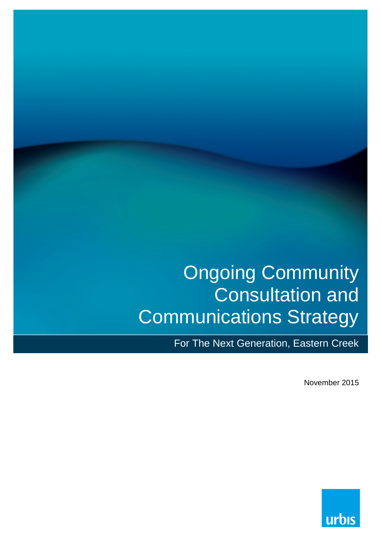# Ongoing Community Consultation and Communications Strategy

For The Next Generation, Eastern Creek

November 2015

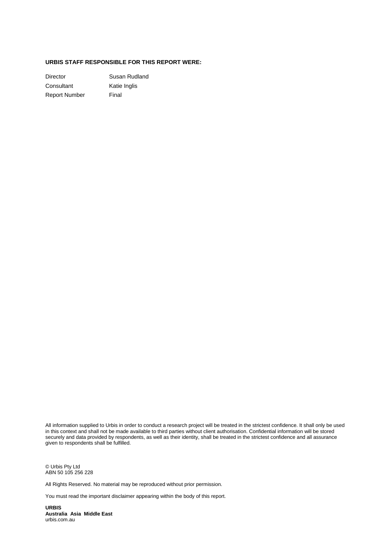#### **URBIS STAFF RESPONSIBLE FOR THIS REPORT WERE:**

Director **Susan Rudland** Consultant Katie Inglis Report Number Final

All information supplied to Urbis in order to conduct a research project will be treated in the strictest confidence. It shall only be used in this context and shall not be made available to third parties without client authorisation. Confidential information will be stored securely and data provided by respondents, as well as their identity, shall be treated in the strictest confidence and all assurance given to respondents shall be fulfilled.

© Urbis Pty Ltd ABN 50 105 256 228

All Rights Reserved. No material may be reproduced without prior permission.

You must read the important disclaimer appearing within the body of this report.

**URBIS Australia Asia Middle East** urbis.com.au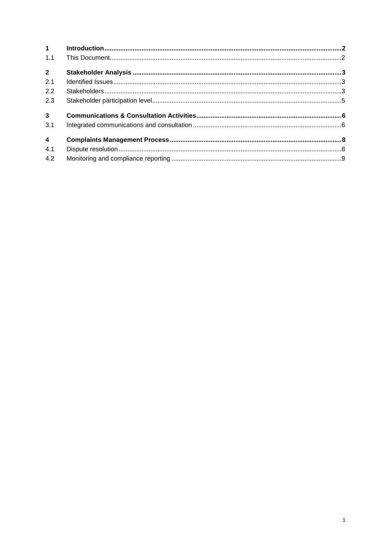| 1 <sup>1</sup>          |  |
|-------------------------|--|
| 1.1                     |  |
| $2^{\circ}$             |  |
| 2.1                     |  |
| 2.2                     |  |
| 2.3                     |  |
| 3 <sup>7</sup>          |  |
| 3.1                     |  |
| $\overline{\mathbf{4}}$ |  |
| 4.1                     |  |
| 4.2                     |  |
|                         |  |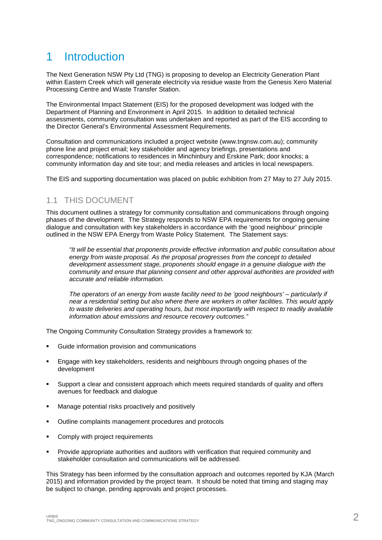### <span id="page-3-0"></span>1 Introduction

The Next Generation NSW Pty Ltd (TNG) is proposing to develop an Electricity Generation Plant within Eastern Creek which will generate electricity via residue waste from the Genesis Xero Material Processing Centre and Waste Transfer Station.

The Environmental Impact Statement (EIS) for the proposed development was lodged with the Department of Planning and Environment in April 2015. In addition to detailed technical assessments, community consultation was undertaken and reported as part of the EIS according to the Director General's Environmental Assessment Requirements.

Consultation and communications included a project website [\(www.tngnsw.com.au\)](http://www.tngnsw.com.au/); community phone line and project email; key stakeholder and agency briefings, presentations and correspondence; notifications to residences in Minchinbury and Erskine Park; door knocks; a community information day and site tour; and media releases and articles in local newspapers.

The EIS and supporting documentation was placed on public exhibition from 27 May to 27 July 2015.

#### <span id="page-3-1"></span>1.1 THIS DOCUMENT

This document outlines a strategy for community consultation and communications through ongoing phases of the development. The Strategy responds to NSW EPA requirements for ongoing genuine dialogue and consultation with key stakeholders in accordance with the 'good neighbour' principle outlined in the NSW EPA Energy from Waste Policy Statement. The Statement says:

*"It will be essential that proponents provide effective information and public consultation about energy from waste proposal. As the proposal progresses from the concept to detailed development assessment stage, proponents should engage in a genuine dialogue with the community and ensure that planning consent and other approval authorities are provided with accurate and reliable information.* 

*The operators of an energy from waste facility need to be 'good neighbours' – particularly if near a residential setting but also where there are workers in other facilities. This would apply to waste deliveries and operating hours, but most importantly with respect to readily available information about emissions and resource recovery outcomes."*

The Ongoing Community Consultation Strategy provides a framework to:

- Guide information provision and communications
- Engage with key stakeholders, residents and neighbours through ongoing phases of the development
- Support a clear and consistent approach which meets required standards of quality and offers avenues for feedback and dialogue
- **Manage potential risks proactively and positively**
- Outline complaints management procedures and protocols
- **•** Comply with project requirements
- Provide appropriate authorities and auditors with verification that required community and stakeholder consultation and communications will be addressed.

This Strategy has been informed by the consultation approach and outcomes reported by KJA (March 2015) and information provided by the project team. It should be noted that timing and staging may be subject to change, pending approvals and project processes.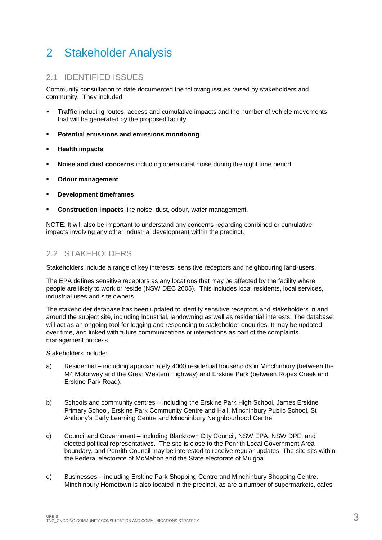### <span id="page-4-0"></span>2 Stakeholder Analysis

#### <span id="page-4-1"></span>2.1 IDENTIFIED ISSUES

Community consultation to date documented the following issues raised by stakeholders and community. They included:

- **Traffic including routes, access and cumulative impacts and the number of vehicle movements** that will be generated by the proposed facility
- **Potential emissions and emissions monitoring**
- **Health impacts**
- **Noise and dust concerns** including operational noise during the night time period
- **Odour management**
- **Development timeframes**
- **Construction impacts** like noise, dust, odour, water management.

NOTE: It will also be important to understand any concerns regarding combined or cumulative impacts involving any other industrial development within the precinct.

#### <span id="page-4-2"></span>2.2 STAKEHOLDERS

Stakeholders include a range of key interests, sensitive receptors and neighbouring land-users.

The EPA defines sensitive receptors as any locations that may be affected by the facility where people are likely to work or reside (NSW DEC 2005). This includes local residents, local services, industrial uses and site owners.

The stakeholder database has been updated to identify sensitive receptors and stakeholders in and around the subject site, including industrial, landowning as well as residential interests. The database will act as an ongoing tool for logging and responding to stakeholder enquiries. It may be updated over time, and linked with future communications or interactions as part of the complaints management process.

Stakeholders include:

- a) Residential including approximately 4000 residential households in Minchinbury (between the M4 Motorway and the Great Western Highway) and Erskine Park (between Ropes Creek and Erskine Park Road).
- b) Schools and community centres including the Erskine Park High School, James Erskine Primary School, Erskine Park Community Centre and Hall, Minchinbury Public School, St Anthony's Early Learning Centre and Minchinbury Neighbourhood Centre.
- c) Council and Government including Blacktown City Council, NSW EPA, NSW DPE, and elected political representatives. The site is close to the Penrith Local Government Area boundary, and Penrith Council may be interested to receive regular updates. The site sits within the Federal electorate of McMahon and the State electorate of Mulgoa.
- d) Businesses including Erskine Park Shopping Centre and Minchinbury Shopping Centre. Minchinbury Hometown is also located in the precinct, as are a number of supermarkets, cafes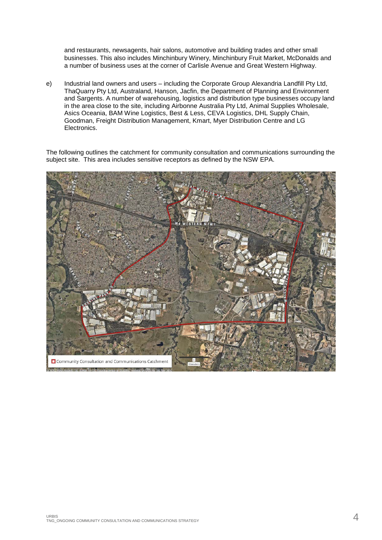and restaurants, newsagents, hair salons, automotive and building trades and other small businesses. This also includes Minchinbury Winery, Minchinbury Fruit Market, McDonalds and a number of business uses at the corner of Carlisle Avenue and Great Western Highway.

e) Industrial land owners and users – including the Corporate Group Alexandria Landfill Pty Ltd, ThaQuarry Pty Ltd, Australand, Hanson, Jacfin, the Department of Planning and Environment and Sargents. A number of warehousing, logistics and distribution type businesses occupy land in the area close to the site, including Airbonne Australia Pty Ltd, Animal Supplies Wholesale, Asics Oceania, BAM Wine Logistics, Best & Less, CEVA Logistics, DHL Supply Chain, Goodman, Freight Distribution Management, Kmart, Myer Distribution Centre and LG Electronics.

The following outlines the catchment for community consultation and communications surrounding the subject site. This area includes sensitive receptors as defined by the NSW EPA.

<span id="page-5-0"></span>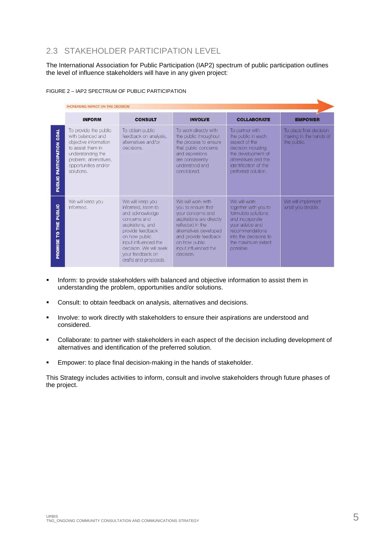### 2.3 STAKEHOLDER PARTICIPATION LEVEL

The International Association for Public Participation (IAP2) spectrum of public participation outlines the level of influence stakeholders will have in any given project:

| <b>INFORM</b>                                                                                                                                                                 | <b>CONSULT</b>                                                                                                                                                                                                                     | <b>INVOLVE</b>                                                                                                                                                                                                       | <b>COLLABORATE</b>                                                                                                                                                               | <b>EMPOWER</b>                                                   |
|-------------------------------------------------------------------------------------------------------------------------------------------------------------------------------|------------------------------------------------------------------------------------------------------------------------------------------------------------------------------------------------------------------------------------|----------------------------------------------------------------------------------------------------------------------------------------------------------------------------------------------------------------------|----------------------------------------------------------------------------------------------------------------------------------------------------------------------------------|------------------------------------------------------------------|
| To provide the public<br>with balanced and<br>objective information<br>to assist them in<br>understanding the<br>problem, alternatives,<br>opportunities and/or<br>solutions. | To obtain public<br>feedback on analysis,<br>alternatives and/or<br>decisions.                                                                                                                                                     | To work directly with<br>the public throughout<br>the process to ensure<br>that public concerns<br>and aspirations<br>are consistently<br>understood and<br>considered.                                              | To partner with<br>the public in each<br>aspect of the<br>decision including<br>the development of<br>alternatives and the<br>identification of the<br>preferred solution.       | To place final decision<br>making in the hands of<br>the public. |
| We will keep you<br>informed.                                                                                                                                                 | We will keep you<br>informed, listen to<br>and acknowledge<br>concerns and<br>aspirations, and<br>provide feedback<br>on how public<br>input influenced the<br>decision. We will seek<br>your feedback on<br>drafts and proposals. | We will work with<br>you to ensure that<br>your concerns and<br>aspirations are directly<br>reflected in the<br>alternatives developed<br>and provide feedback<br>on how public<br>input influenced the<br>decision. | We will work<br>together with you to<br>formulate solutions<br>and incorporate<br>your advice and<br>recommendations<br>into the decisions to<br>the maximum extent<br>possible. | We will implement<br>what you decide.                            |

#### FIGURE 2 – IAP2 SPECTRUM OF PUBLIC PARTICIPATION

- **Inform: to provide stakeholders with balanced and objective information to assist them in** understanding the problem, opportunities and/or solutions.
- Consult: to obtain feedback on analysis, alternatives and decisions.
- **Involve: to work directly with stakeholders to ensure their aspirations are understood and** considered.
- Collaborate: to partner with stakeholders in each aspect of the decision including development of alternatives and identification of the preferred solution.
- **Empower: to place final decision-making in the hands of stakeholder.**

This Strategy includes activities to inform, consult and involve stakeholders through future phases of the project.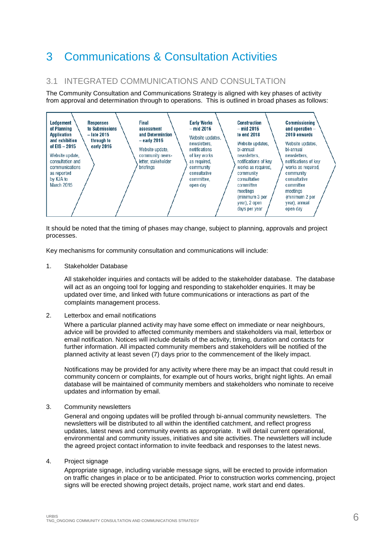### <span id="page-7-0"></span>3 Communications & Consultation Activities

#### <span id="page-7-1"></span>3.1 INTEGRATED COMMUNICATIONS AND CONSULTATION

The Community Consultation and Communications Strategy is aligned with key phases of activity from approval and determination through to operations. This is outlined in broad phases as follows:



It should be noted that the timing of phases may change, subject to planning, approvals and project processes.

Key mechanisms for community consultation and communications will include:

1. Stakeholder Database

All stakeholder inquiries and contacts will be added to the stakeholder database. The database will act as an ongoing tool for logging and responding to stakeholder enquiries. It may be updated over time, and linked with future communications or interactions as part of the complaints management process.

#### 2. Letterbox and email notifications

Where a particular planned activity may have some effect on immediate or near neighbours, advice will be provided to affected community members and stakeholders via mail, letterbox or email notification. Notices will include details of the activity, timing, duration and contacts for further information. All impacted community members and stakeholders will be notified of the planned activity at least seven (7) days prior to the commencement of the likely impact.

Notifications may be provided for any activity where there may be an impact that could result in community concern or complaints, for example out of hours works, bright night lights. An email database will be maintained of community members and stakeholders who nominate to receive updates and information by email.

#### 3. Community newsletters

General and ongoing updates will be profiled through bi-annual community newsletters. The newsletters will be distributed to all within the identified catchment, and reflect progress updates, latest news and community events as appropriate. It will detail current operational, environmental and community issues, initiatives and site activities. The newsletters will include the agreed project contact information to invite feedback and responses to the latest news.

4. Project signage

Appropriate signage, including variable message signs, will be erected to provide information on traffic changes in place or to be anticipated. Prior to construction works commencing, project signs will be erected showing project details, project name, work start and end dates.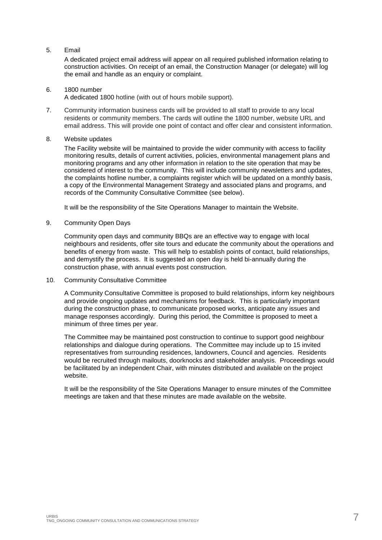#### 5. Email

A dedicated project email address will appear on all required published information relating to construction activities. On receipt of an email, the Construction Manager (or delegate) will log the email and handle as an enquiry or complaint.

#### 6. 1800 number

A dedicated 1800 hotline (with out of hours mobile support).

7. Community information business cards will be provided to all staff to provide to any local residents or community members. The cards will outline the 1800 number, website URL and email address. This will provide one point of contact and offer clear and consistent information.

#### 8. Website updates

The Facility website will be maintained to provide the wider community with access to facility monitoring results, details of current activities, policies, environmental management plans and monitoring programs and any other information in relation to the site operation that may be considered of interest to the community. This will include community newsletters and updates, the complaints hotline number, a complaints register which will be updated on a monthly basis, a copy of the Environmental Management Strategy and associated plans and programs, and records of the Community Consultative Committee (see below).

It will be the responsibility of the Site Operations Manager to maintain the Website.

#### 9. Community Open Days

Community open days and community BBQs are an effective way to engage with local neighbours and residents, offer site tours and educate the community about the operations and benefits of energy from waste. This will help to establish points of contact, build relationships, and demystify the process. It is suggested an open day is held bi-annually during the construction phase, with annual events post construction.

#### 10. Community Consultative Committee

A Community Consultative Committee is proposed to build relationships, inform key neighbours and provide ongoing updates and mechanisms for feedback. This is particularly important during the construction phase, to communicate proposed works, anticipate any issues and manage responses accordingly. During this period, the Committee is proposed to meet a minimum of three times per year.

The Committee may be maintained post construction to continue to support good neighbour relationships and dialogue during operations. The Committee may include up to 15 invited representatives from surrounding residences, landowners, Council and agencies. Residents would be recruited through mailouts, doorknocks and stakeholder analysis. Proceedings would be facilitated by an independent Chair, with minutes distributed and available on the project website.

It will be the responsibility of the Site Operations Manager to ensure minutes of the Committee meetings are taken and that these minutes are made available on the website.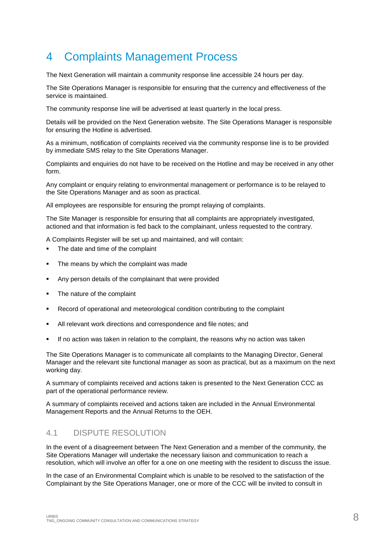### <span id="page-9-0"></span>4 Complaints Management Process

The Next Generation will maintain a community response line accessible 24 hours per day.

The Site Operations Manager is responsible for ensuring that the currency and effectiveness of the service is maintained.

The community response line will be advertised at least quarterly in the local press.

Details will be provided on the Next Generation website. The Site Operations Manager is responsible for ensuring the Hotline is advertised.

As a minimum, notification of complaints received via the community response line is to be provided by immediate SMS relay to the Site Operations Manager.

Complaints and enquiries do not have to be received on the Hotline and may be received in any other form.

Any complaint or enquiry relating to environmental management or performance is to be relayed to the Site Operations Manager and as soon as practical.

All employees are responsible for ensuring the prompt relaying of complaints.

The Site Manager is responsible for ensuring that all complaints are appropriately investigated, actioned and that information is fed back to the complainant, unless requested to the contrary.

A Complaints Register will be set up and maintained, and will contain:

- The date and time of the complaint
- The means by which the complaint was made
- Any person details of the complainant that were provided
- The nature of the complaint
- Record of operational and meteorological condition contributing to the complaint
- All relevant work directions and correspondence and file notes; and
- If no action was taken in relation to the complaint, the reasons why no action was taken

The Site Operations Manager is to communicate all complaints to the Managing Director, General Manager and the relevant site functional manager as soon as practical, but as a maximum on the next working day.

A summary of complaints received and actions taken is presented to the Next Generation CCC as part of the operational performance review.

A summary of complaints received and actions taken are included in the Annual Environmental Management Reports and the Annual Returns to the OEH.

#### <span id="page-9-1"></span>4.1 DISPUTE RESOLUTION

In the event of a disagreement between The Next Generation and a member of the community, the Site Operations Manager will undertake the necessary liaison and communication to reach a resolution, which will involve an offer for a one on one meeting with the resident to discuss the issue.

In the case of an Environmental Complaint which is unable to be resolved to the satisfaction of the Complainant by the Site Operations Manager, one or more of the CCC will be invited to consult in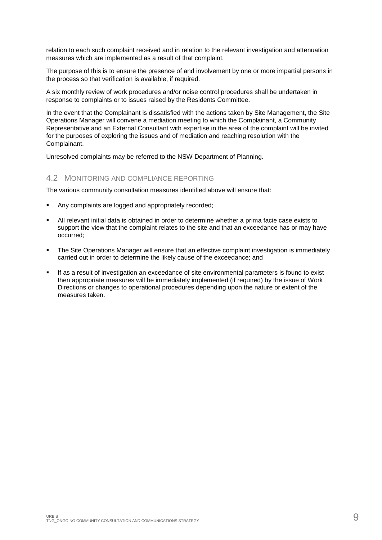relation to each such complaint received and in relation to the relevant investigation and attenuation measures which are implemented as a result of that complaint.

The purpose of this is to ensure the presence of and involvement by one or more impartial persons in the process so that verification is available, if required.

A six monthly review of work procedures and/or noise control procedures shall be undertaken in response to complaints or to issues raised by the Residents Committee.

In the event that the Complainant is dissatisfied with the actions taken by Site Management, the Site Operations Manager will convene a mediation meeting to which the Complainant, a Community Representative and an External Consultant with expertise in the area of the complaint will be invited for the purposes of exploring the issues and of mediation and reaching resolution with the Complainant.

<span id="page-10-0"></span>Unresolved complaints may be referred to the NSW Department of Planning.

#### 4.2 MONITORING AND COMPLIANCE REPORTING

The various community consultation measures identified above will ensure that:

- Any complaints are logged and appropriately recorded;
- All relevant initial data is obtained in order to determine whether a prima facie case exists to support the view that the complaint relates to the site and that an exceedance has or may have occurred;
- The Site Operations Manager will ensure that an effective complaint investigation is immediately carried out in order to determine the likely cause of the exceedance; and
- If as a result of investigation an exceedance of site environmental parameters is found to exist then appropriate measures will be immediately implemented (if required) by the issue of Work Directions or changes to operational procedures depending upon the nature or extent of the measures taken.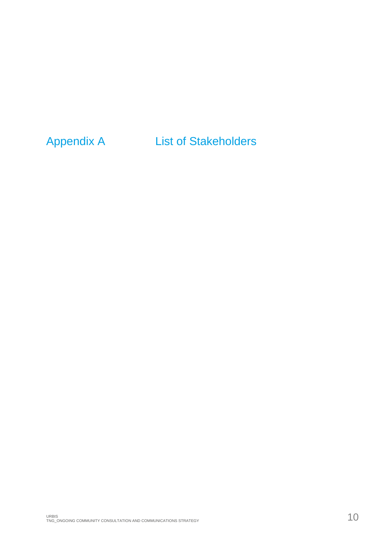## Appendix A List of Stakeholders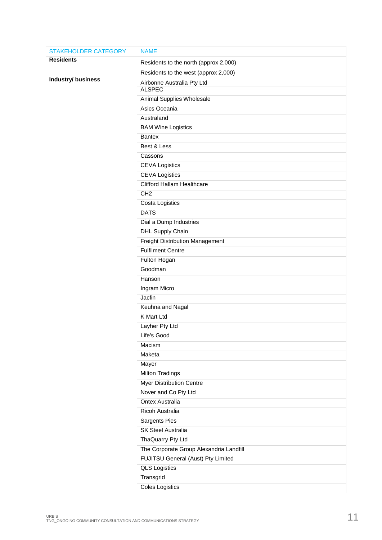| <b>STAKEHOLDER CATEGORY</b> | <b>NAME</b>                             |
|-----------------------------|-----------------------------------------|
| <b>Residents</b>            | Residents to the north (approx 2,000)   |
|                             | Residents to the west (approx 2,000)    |
| <b>Industry/ business</b>   | Airbonne Australia Pty Ltd              |
|                             | <b>ALSPEC</b>                           |
|                             | Animal Supplies Wholesale               |
|                             | Asics Oceania                           |
|                             | Australand                              |
|                             | <b>BAM Wine Logistics</b>               |
|                             | <b>Bantex</b>                           |
|                             | Best & Less                             |
|                             | Cassons                                 |
|                             | <b>CEVA Logistics</b>                   |
|                             | <b>CEVA Logistics</b>                   |
|                             | <b>Clifford Hallam Healthcare</b>       |
|                             | CH <sub>2</sub>                         |
|                             | Costa Logistics                         |
|                             | <b>DATS</b>                             |
|                             | Dial a Dump Industries                  |
|                             | DHL Supply Chain                        |
|                             | <b>Freight Distribution Management</b>  |
|                             | <b>Fulfilment Centre</b>                |
|                             | Fulton Hogan                            |
|                             | Goodman                                 |
|                             | Hanson                                  |
|                             | Ingram Micro                            |
|                             | Jacfin                                  |
|                             | Keuhna and Nagal                        |
|                             | K Mart Ltd                              |
|                             | Layher Pty Ltd                          |
|                             | Life's Good                             |
|                             | Macism                                  |
|                             | Maketa                                  |
|                             | Mayer                                   |
|                             | <b>Milton Tradings</b>                  |
|                             | Myer Distribution Centre                |
|                             | Nover and Co Pty Ltd                    |
|                             | <b>Ontex Australia</b>                  |
|                             | Ricoh Australia                         |
|                             | Sargents Pies                           |
|                             | <b>SK Steel Australia</b>               |
|                             | ThaQuarry Pty Ltd                       |
|                             | The Corporate Group Alexandria Landfill |
|                             | FUJITSU General (Aust) Pty Limited      |
|                             | <b>QLS Logistics</b>                    |
|                             | Transgrid                               |
|                             | <b>Coles Logistics</b>                  |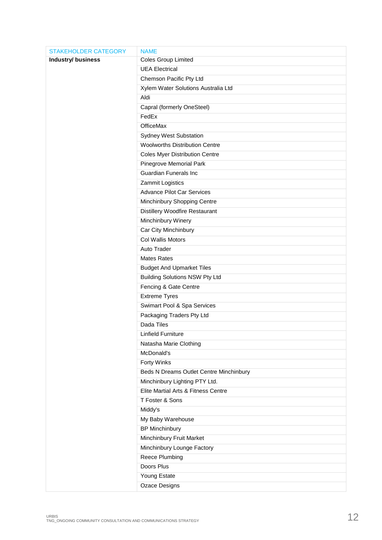| <b>STAKEHOLDER CATEGORY</b> | <b>NAME</b>                             |
|-----------------------------|-----------------------------------------|
| <b>Industry/ business</b>   | <b>Coles Group Limited</b>              |
|                             | <b>UEA Electrical</b>                   |
|                             | Chemson Pacific Pty Ltd                 |
|                             | Xylem Water Solutions Australia Ltd     |
|                             | Aldi                                    |
|                             | Capral (formerly OneSteel)              |
|                             | FedEx                                   |
|                             | <b>OfficeMax</b>                        |
|                             | <b>Sydney West Substation</b>           |
|                             | <b>Woolworths Distribution Centre</b>   |
|                             | <b>Coles Myer Distribution Centre</b>   |
|                             | Pinegrove Memorial Park                 |
|                             | <b>Guardian Funerals Inc</b>            |
|                             | Zammit Logistics                        |
|                             | <b>Advance Pilot Car Services</b>       |
|                             | Minchinbury Shopping Centre             |
|                             | Distillery Woodfire Restaurant          |
|                             | Minchinbury Winery                      |
|                             | Car City Minchinbury                    |
|                             | Col Wallis Motors                       |
|                             | Auto Trader                             |
|                             | <b>Mates Rates</b>                      |
|                             | <b>Budget And Upmarket Tiles</b>        |
|                             | <b>Building Solutions NSW Pty Ltd</b>   |
|                             | Fencing & Gate Centre                   |
|                             | <b>Extreme Tyres</b>                    |
|                             | Swimart Pool & Spa Services             |
|                             | Packaging Traders Pty Ltd               |
|                             | Dada Tiles                              |
|                             | <b>Linfield Furniture</b>               |
|                             | Natasha Marie Clothing                  |
|                             | McDonald's                              |
|                             | Forty Winks                             |
|                             | Beds N Dreams Outlet Centre Minchinbury |
|                             | Minchinbury Lighting PTY Ltd.           |
|                             | Elite Martial Arts & Fitness Centre     |
|                             | T Foster & Sons                         |
|                             | Middy's                                 |
|                             | My Baby Warehouse                       |
|                             | <b>BP Minchinbury</b>                   |
|                             | Minchinbury Fruit Market                |
|                             | Minchinbury Lounge Factory              |
|                             | <b>Reece Plumbing</b>                   |
|                             | Doors Plus                              |
|                             | Young Estate                            |
|                             | <b>Ozace Designs</b>                    |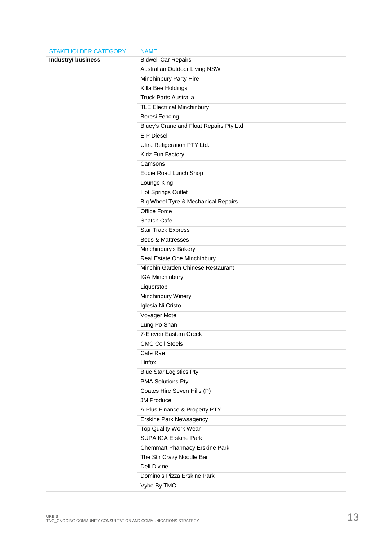| <b>STAKEHOLDER CATEGORY</b> | <b>NAME</b>                             |
|-----------------------------|-----------------------------------------|
| Industry/ business          | <b>Bidwell Car Repairs</b>              |
|                             | Australian Outdoor Living NSW           |
|                             | Minchinbury Party Hire                  |
|                             | Killa Bee Holdings                      |
|                             | <b>Truck Parts Australia</b>            |
|                             | <b>TLE Electrical Minchinbury</b>       |
|                             | <b>Boresi Fencing</b>                   |
|                             | Bluey's Crane and Float Repairs Pty Ltd |
|                             | <b>EIP Diesel</b>                       |
|                             | Ultra Refigeration PTY Ltd.             |
|                             | Kidz Fun Factory                        |
|                             | Camsons                                 |
|                             | Eddie Road Lunch Shop                   |
|                             | Lounge King                             |
|                             | <b>Hot Springs Outlet</b>               |
|                             | Big Wheel Tyre & Mechanical Repairs     |
|                             | <b>Office Force</b>                     |
|                             | Snatch Cafe                             |
|                             | <b>Star Track Express</b>               |
|                             | <b>Beds &amp; Mattresses</b>            |
|                             | Minchinbury's Bakery                    |
|                             | Real Estate One Minchinbury             |
|                             | Minchin Garden Chinese Restaurant       |
|                             | IGA Minchinbury                         |
|                             | Liquorstop                              |
|                             | Minchinbury Winery                      |
|                             | Iglesia Ni Cristo                       |
|                             | Voyager Motel                           |
|                             | Lung Po Shan                            |
|                             | 7-Eleven Eastern Creek                  |
|                             | <b>CMC Coil Steels</b>                  |
|                             | Cafe Rae                                |
|                             | Linfox                                  |
|                             | <b>Blue Star Logistics Pty</b>          |
|                             | <b>PMA Solutions Pty</b>                |
|                             | Coates Hire Seven Hills (P)             |
|                             | <b>JM Produce</b>                       |
|                             | A Plus Finance & Property PTY           |
|                             | Erskine Park Newsagency                 |
|                             | Top Quality Work Wear                   |
|                             | <b>SUPA IGA Erskine Park</b>            |
|                             | <b>Chemmart Pharmacy Erskine Park</b>   |
|                             | The Stir Crazy Noodle Bar               |
|                             | Deli Divine                             |
|                             | Domino's Pizza Erskine Park             |
|                             | Vybe By TMC                             |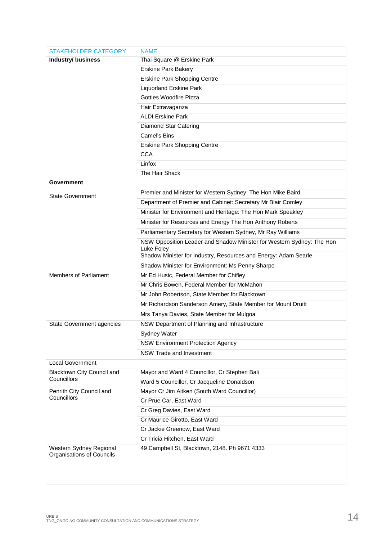| <b>STAKEHOLDER CATEGORY</b>               | <b>NAME</b>                                                                   |  |  |
|-------------------------------------------|-------------------------------------------------------------------------------|--|--|
| <b>Industry/ business</b>                 | Thai Square @ Erskine Park                                                    |  |  |
|                                           | <b>Erskine Park Bakery</b>                                                    |  |  |
|                                           | <b>Erskine Park Shopping Centre</b>                                           |  |  |
|                                           | <b>Liquorland Erskine Park</b>                                                |  |  |
|                                           | <b>Gotties Woodfire Pizza</b>                                                 |  |  |
|                                           | Hair Extravaganza                                                             |  |  |
|                                           | <b>ALDI Erskine Park</b>                                                      |  |  |
|                                           | <b>Diamond Star Catering</b>                                                  |  |  |
|                                           | Camel's Bins                                                                  |  |  |
|                                           | <b>Erskine Park Shopping Centre</b>                                           |  |  |
|                                           | <b>CCA</b>                                                                    |  |  |
|                                           | Linfox                                                                        |  |  |
|                                           | The Hair Shack                                                                |  |  |
| Government                                |                                                                               |  |  |
| <b>State Government</b>                   | Premier and Minister for Western Sydney: The Hon Mike Baird                   |  |  |
|                                           | Department of Premier and Cabinet: Secretary Mr Blair Comley                  |  |  |
|                                           | Minister for Environment and Heritage: The Hon Mark Speakley                  |  |  |
|                                           | Minister for Resources and Energy The Hon Anthony Roberts                     |  |  |
|                                           | Parliamentary Secretary for Western Sydney, Mr Ray Williams                   |  |  |
|                                           | NSW Opposition Leader and Shadow Minister for Western Sydney: The Hon         |  |  |
|                                           | Luke Foley<br>Shadow Minister for Industry, Resources and Energy: Adam Searle |  |  |
|                                           | Shadow Minister for Environment: Ms Penny Sharpe                              |  |  |
| <b>Members of Parliament</b>              | Mr Ed Husic, Federal Member for Chifley                                       |  |  |
|                                           | Mr Chris Bowen, Federal Member for McMahon                                    |  |  |
|                                           | Mr John Robertson, State Member for Blacktown                                 |  |  |
|                                           | Mr Richardson Sanderson Amery, State Member for Mount Druitt                  |  |  |
|                                           | Mrs Tanya Davies, State Member for Mulgoa                                     |  |  |
|                                           | NSW Department of Planning and Infrastructure                                 |  |  |
| State Government agencies                 |                                                                               |  |  |
|                                           | Sydney Water                                                                  |  |  |
|                                           | <b>NSW Environment Protection Agency</b>                                      |  |  |
|                                           | NSW Trade and Investment                                                      |  |  |
| <b>Local Government</b>                   |                                                                               |  |  |
| Blacktown City Council and<br>Councillors | Mayor and Ward 4 Councillor, Cr Stephen Bali                                  |  |  |
|                                           | Ward 5 Councillor, Cr Jacqueline Donaldson                                    |  |  |
| Penrith City Council and<br>Councillors   | Mayor Cr Jim Aitken (South Ward Councillor)                                   |  |  |
|                                           | Cr Prue Car, East Ward<br>Cr Greg Davies, East Ward                           |  |  |
|                                           | Cr Maurice Girotto, East Ward                                                 |  |  |
|                                           | Cr Jackie Greenow, East Ward                                                  |  |  |
|                                           | Cr Tricia Hitchen, East Ward                                                  |  |  |
| Western Sydney Regional                   | 49 Campbell St, Blacktown, 2148. Ph 9671 4333                                 |  |  |
| Organisations of Councils                 |                                                                               |  |  |
|                                           |                                                                               |  |  |